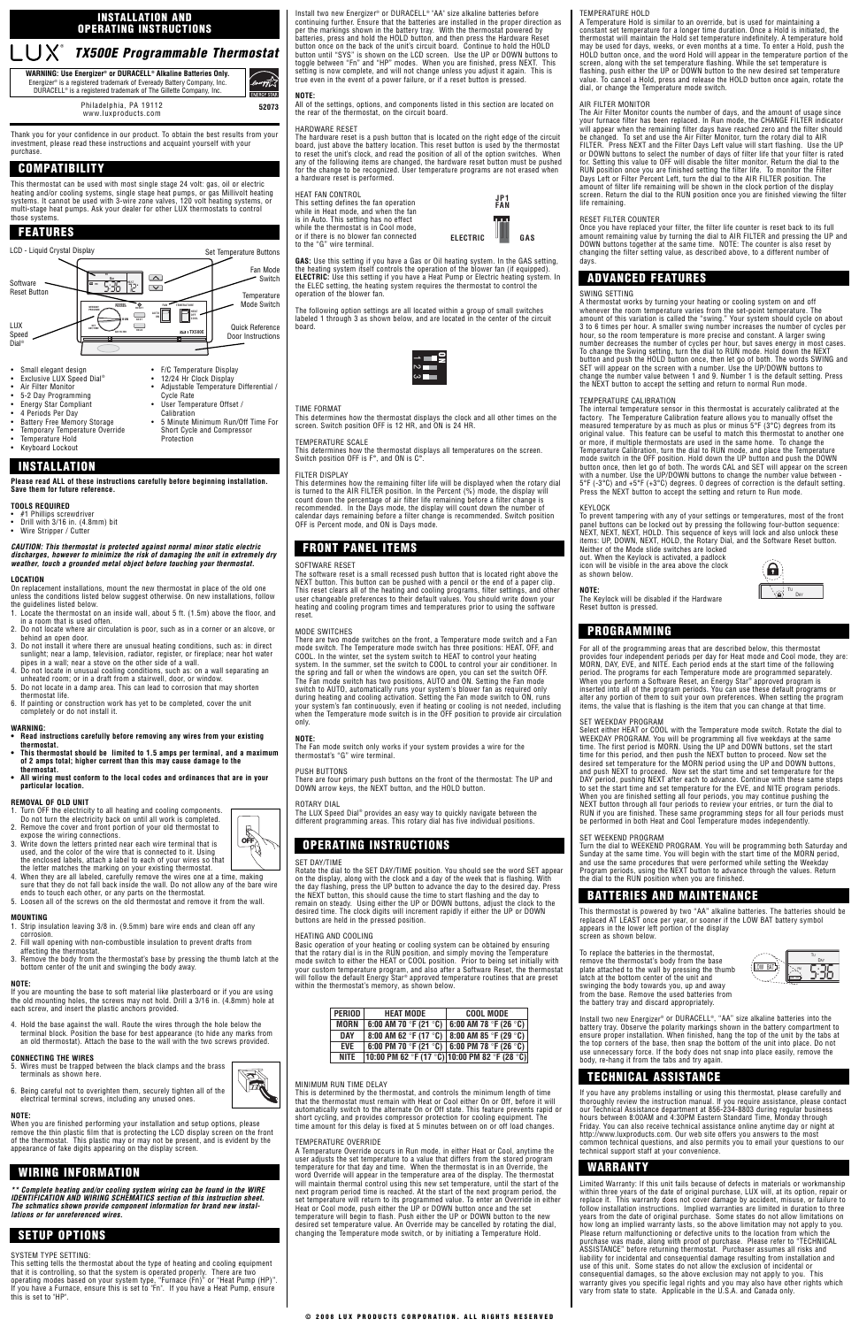Thank you for your confidence in our product. To obtain the best results from your investment, please read these instructions and acquaint yourself with your purchase.

- #1 Phillips screwdriver
- Drill with 3/16 in. (4.8mm) bit Wire Stripper / Cutter

This thermostat can be used with most single stage 24 volt: gas, oil or electric heating and/or cooling systems, single stage heat pumps, or gas Millivolt heating<br>systems. It cannot be used with 3-wire zone valves, 120 volt heating systems, or<br>multi-stage heat pumps. Ask your dealer for other LUX therm those systems.

#### **Please read ALL of these instructions carefully before beginning installation. Save them for future reference.**

## **TOOLS REQUIRED**

# **CAUTION: This thermostat is protected against normal minor static electric discharges, however to minimize the risk of damaging the unit in extremely dry weather, touch a grounded metal object before touching your thermostat.**

- 1. Locate the thermostat on an inside wall, about 5 ft. (1.5m) above the floor, and in a room that is used often.
- 2. Do not locate where air circulation is poor, such as in a corner or an alcove, or behind an open door.
- 3. Do not install it where there are unusual heating conditions, such as: in direct sunlight; near a lamp, television, radiator, register, or fireplace; near hot water pipes in a wall; near a stove on the other side of a wall.
- 4. Do not locate in unusual cooling conditions, such as: on a wall separating an unheated room; or in a draft from a stairwell, door, or window.
- 5. Do not locate in a damp area. This can lead to corrosion that may shorten thermostat life.
- 6. If painting or construction work has yet to be completed, cover the unit completely or do not install it.

### **LOCATION**

On replacement installations, mount the new thermostat in place of the old one unless the conditions listed below suggest otherwise. On new installations, follow the guidelines listed below.

# **WARNING:**

6. Being careful not to overighten them, securely tighten all of the electrical terminal screws, including any unused ones.

- **Read instructions carefully before removing any wires from your existing thermostat.**
- **This thermostat should be limited to 1.5 amps per terminal, and a maximum of 2 amps total; higher current than this may cause damage to the thermostat.**
- **All wiring must conform to the local codes and ordinances that are in your particular location.**

# **REMOVAL OF OLD UNIT**

- 1. Turn OFF the electricity to all heating and cooling components. Do not turn the electricity back on until all work is completed.
- 2. Remove the cover and front portion of your old thermostat to
- expose the wiring connections. 3. Write down the letters printed near each wire terminal that is used, and the color of the wire that is connected to it. Using
- the enclosed labels, attach a label to each of your wires so that the letter matches the marking on your existing thermostat. OFF<sup>1</sup>
- 4. When they are all labeled, carefully remove the wires one at a time, making sure that they do not fall back inside the wall. Do not allow any of the bare wire ends to touch each other, or any parts on the thermostat. 5. Loosen all of the screws on the old thermostat and remove it from the wall.
- **MOUNTING**

- 1. Strip insulation leaving 3/8 in. (9.5mm) bare wire ends and clean off any corrosion.
- 2. Fill wall opening with non-combustible insulation to prevent drafts from affecting the thermostat.
- 3. Remove the body from the thermostat's base by pressing the thumb latch at the bottom center of the unit and swinging the body away.

#### **NOTE:**

If you are mounting the base to soft material like plasterboard or if you are using the old mounting holes, the screws may not hold. Drill a 3/16 in. (4.8mm) hole at each screw, and insert the plastic anchors provided.

4. Hold the base against the wall. Route the wires through the hole below the terminal block. Position the base for best appearance (to hide any marks from an old thermostat). Attach the base to the wall with the two screws provided.

## **CONNECTING THE WIRES**

5. Wires must be trapped between the black clamps and the brass terminals as shown here.



## **NOTE:**

When you are finished performing your installation and setup options, please remove the thin plastic film that is protecting the LCD display screen on the front of the thermostat. This plastic may or may not be present, and is evident by the appearance of fake digits appearing on the display screen.

**\*\* Complete heating and/or cooling system wiring can be found in the WIRE IDENTIFICATION AND WIRING SCHEMATICS section of this instruction sheet. The schmatics shown provide component information for brand new installations or for unreferenced wires.**

#### SYSTEM TYPE SETTING:

This setting tells the thermostat about the type of heating and cooling equipment that it is controlling, so that the system is operated properly. There are two<br>operating modes based on your system type, "Furnace (Fn)" or "Heat Pump (HP)".<br>If you have a Furnace, ensure this is set to "Fn". If you have this is set to "HP".

Basic operation of your heating or cooling system can be obtained by ensuring that the rotary dial is in the RUN position, and simply moving the Temperature<br>mode switch to either the HEAT or COOL position. Prior to being set initially with<br>your custom temperature program, and also after a Software

will follow the default Energy Star® approved temperature routines that are preset within the thermostat's memory, as shown below.

This is determined by the thermostat, and controls the minimum length of time that the thermostat must remain with Heat or Cool either On or Off, before it will automatically switch to the alternate On or Off state. This feature prevents rapid or short cycling, and provides compressor protection for cooling equipment. The time amount for this delay is fixed at 5 minutes between on or off load changes.

Install two new Energizer® or DURACELL® "AA" size alkaline batteries before continuing further. Ensure that the batteries are installed in the proper direction as per the markings shown in the battery tray. With the thermostat powered by batteries, press and hold the HOLD button, and then press the Hardware Reset button once on the back of the unit's circuit board. Continue to hold the HOLD button until "SYS" is shown on the LCD screen. Use the UP or DOWN buttons to toggle between "Fn" and "HP" modes. When you are finished, press NEXT. This setting is now complete, and will not change unless you adjust it again. This is true even in the event of a power failure, or if a reset button is pressed.

# **NOTE:**

All of the settings, options, and components listed in this section are located on the rear of the thermostat, on the circuit board.

## HARDWARE RESET

The hardware reset is a push button that is located on the right edge of the circuit board, just above the battery location. This reset button is used by the thermostat to reset the unit's clock, and read the position of all of the option switches. When any of the following items are changed, the hardware reset button must be pushed for the change to be recognized. User temperature programs are not erased when a hardware reset is performed.

HEAT FAN CONTROL This setting defines the fan operation while in Heat mode, and when the fan is in Auto. This setting has no effect while the thermostat is in Cool mode, or if there is no blower fan connected to the "G" wire terminal.

**GAS:** Use this setting if you have a Gas or Oil heating system. In the GAS setting, the heating system itself controls the operation of the blower fan (if equipped).<br>**ELECTRIC:** Use this setting if you have a Heat Pump or Electric heating system. In the ELEC setting, the heating system requires the thermostat to control the operation of the blower fan.

The following option settings are all located within a group of small switches labeled 1 through 3 as shown below, and are located in the center of the circuit board.

# TIME FORMAT



### TEMPERATURE SCALE

This determines how the thermostat displays all temperatures on the screen. Switch position OFF is F°, and ON is C°.

### FILTER DISPLAY

This determines how the remaining filter life will be displayed when the rotary dial is turned to the AIR FILTER position. In the Percent (%) mode, the display will count down the percentage of air filter life remaining before a filter change is recommended. In the Days mode, the display will count down the number of calendar days remaining before a filter change is recommended. Switch position OFF is Percent mode, and ON is Days mode.

## SOFTWARE RESET

The software reset is a small recessed push button that is located right above the NEXT button. This button can be pushed with a pencil or the end of a paper clip. This reset clears all of the heating and cooling programs, filter settings, and other user changeable preferences to their default values. You should write down your heating and cooling program times and temperatures prior to using the software reset.

## MODE SWITCHES

There are two mode switches on the front, a Temperature mode switch and a Fan mode switch. The Temperature mode switch has three positions: HEAT, OFF, and COOL. In the winter, set the system switch to HEAT to control your heating system. In the summer, set the switch to COOL to control your air conditioner. In the spring and fall or when the windows are open, you can set the switch OFF. The Fan mode switch has two positions, AUTO and ON. Setting the Fan mode switch to AUTO, automatically runs your system's blower fan as required only during heating and cooling activation. Setting the Fan mode switch to ON, runs your system's fan continuously, even if heating or cooling is not needed, including when the Temperature mode switch is in the OFF position to provide air circulation only.

### **NOTE:**

The Fan mode switch only works if your system provides a wire for the thermostat's "G" wire terminal.

# PUSH BUTTONS

There are four primary push buttons on the front of the thermostat: The UP and DOWN arrow keys, the NEXT button, and the HOLD button.

### ROTARY DIAL

The LUX Speed Dial® provides an easy way to quickly navigate between the different programming areas. This rotary dial has five individual positions.

> Install two new Energizer® or DURACELL®, "AA" size alkaline batteries into the battery tray. Observe the polarity markings shown in the battery compartment to ensure proper installation. When finished, hang the top of the unit by the tabs at the top corners of the base, then snap the bottom of the unit into place. Do not use unnecessary force. If the body does not snap into place easily, remove the body, re-hang it from the tabs and try again.

## SET DAY/TIME

Rotate the dial to the SET DAY/TIME position. You should see the word SET appear on the display, along with the clock and a day of the week that is flashing. With the day flashing, press the UP button to advance the day to the desired day. Press the NEXT button, this should cause the time to start flashing and the day to remain on steady. Using either the UP or DOWN buttons, adjust the clock to the desired time. The clock digits will increment rapidly if either the UP or DOWN buttons are held in the pressed position.

# HEATING AND COOLING

#### MINIMUM RUN TIME DELAY

#### TEMPERATURE OVERRIDE

A Temperature Override occurs in Run mode, in either Heat or Cool, anytime the user adjusts the set temperature to a value that differs from the stored program temperature for that day and time. When the thermostat is in an Override, the word Override will appear in the temperature area of the display. The thermostat will maintain thermal control using this new set temperature, until the start of the next program period time is reached. At the start of the next program period, the set temperature will return to its programmed value. To enter an Override in either Heat or Cool mode, push either the UP or DOWN button once and the set temperature will begin to flash. Push either the UP or DOWN button to the new desired set temperature value. An Override may be cancelled by rotating the dial, changing the Temperature mode switch, or by initiating a Temperature Hold.

# TEMPERATURE HOLD

A Temperature Hold is similar to an override, but is used for maintaining a constant set temperature for a longer time duration. Once a Hold is initiated, the thermostat will maintain the Hold set temperature indefinitely. A temperature hold may be used for days, weeks, or even months at a time. To enter a Hold, push the HOLD button once, and the word Hold will appear in the temperature portion of the screen, along with the set temperature flashing. While the set temperature is flashing, push either the UP or DOWN button to the new desired set temperature value. To cancel a Hold, press and release the HOLD button once again, rotate the dial, or change the Temperature mode switch.

## AIR FILTER MONITOR

The Air Filter Monitor counts the number of days, and the amount of usage since your furnace filter has been replaced. In Run mode, the CHANGE FILTER indicator will appear when the remaining filter days have reached zero and the filter should be changed. To set and use the Air Filter Monitor, turn the rotary dial to AIR FILTER. Press NEXT and the Filter Days Left value will start flashing. Use the UP or DOWN buttons to select the number of days of filter life that your filter is rated for. Setting this value to OFF will disable the filter monitor. Return the dial to the RUN position once you are finished setting the filter life. To monitor the Filter Days Left or Filter Percent Left, turn the dial to the AIR FILTER position. The amount of filter life remaining will be shown in the clock portion of the display screen. Return the dial to the RUN position once you are finished viewing the filter life remaining.

## RESET FILTER COUNTER

Once you have replaced your filter, the filter life counter is reset back to its full amount remaining value by turning the dial to AIR FILTER and pressing the UP and DOWN buttons together at the same time. NOTE: The counter is also reset by changing the filter setting value, as described above, to a different number of days.

## SWING SETTING

A thermostat works by turning your heating or cooling system on and off whenever the room temperature varies from the set-point temperature. The amount of this variation is called the "swing." Your system should cycle on about 3 to 6 times per hour. A smaller swing number increases the number of cycles per hour, so the room temperature is more precise and constant. A larger swing number decreases the number of cycles per hour, but saves energy in most cases. To change the Swing setting, turn the dial to RUN mode. Hold down the NEXT button and push the HOLD button once, then let go of both. The words SWING and SET will appear on the screen with a number. Use the UP/DOWN buttons to change the number value between 1 and 9. Number 1 is the default setting. Press the NEXT button to accept the setting and return to normal Run mode.

## TEMPERATURE CALIBRATION

The internal temperature sensor in this thermostat is accurately calibrated at the factory. The Temperature Calibration feature allows you to manually offset the measured temperature by as much as plus or minus 5°F (3°C) degrees from its original value. This feature can be useful to match this thermostat to another one or more, if multiple thermostats are used in the same home. To change the Temperature Calibration, turn the dial to RUN mode, and place the Temperature mode switch in the OFF position. Hold down the UP button and push the DOWN button once, then let go of both. The words CAL and SET will appear on the screen with a number. Use the UP/DOWN buttons to change the number value between - 5°F (-3°C) and +5°F (+3°C) degrees. 0 degrees of correction is the default setting. Press the NEXT button to accept the setting and return to Run mode.

### KEYLOCK

To prevent tampering with any of your settings or temperatures, most of the front panel buttons can be locked out by pressing the following four-button sequence: NEXT, NEXT, NEXT, HOLD. This sequence of keys will lock and also unlock these items: UP, DOWN, NEXT, HOLD, the Rotary Dial, and the Software Reset button. Neither of the Mode slide switches are locked

out. When the Keylock is activated, a padlock icon will be visible in the area above the clock as shown below.

**NOTE:**

The Keylock will be disabled if the Hardware Reset button is pressed.

For all of the programming areas that are described below, this thermostat provides four independent periods per day for Heat mode and Cool mode, they are: MORN, DAY, EVE, and NITE. Each period ends at the start time of the following period. The programs for each Temperature mode are programmed separately. When you perform a Software Reset, an Energy Star® approved program is inserted into all of the program periods. You can use these default programs or alter any portion of them to suit your own preferences. When setting the program items, the value that is flashing is the item that you can change at that time.

### SET WEEKDAY PROGRAM

Select either HEAT or COOL with the Temperature mode switch. Rotate the dial to WEEKDAY PROGRAM. You will be programming all five weekdays at the same time. The first period is MORN. Using the UP and DOWN buttons, set the start time for this period, and then push the NEXT button to proceed. Now set the desired set temperature for the MORN period using the UP and DOWN buttons, and push NEXT to proceed. Now set the start time and set temperature for the period, pushing NEXT after each to advance. Continue with these same steps to set the start time and set temperature for the EVE, and NITE program periods. When you are finished setting all four periods, you may continue pushing the NEXT button through all four periods to review your entries, or turn the dial to RUN if you are finished. These same programming steps for all four periods must be performed in both Heat and Cool Temperature modes independently.

SET WEEKEND PROGRAM

Turn the dial to WEEKEND PROGRAM. You will be programming both Saturday and Sunday at the same time. You will begin with the start time of the MORN period, and use the same procedures that were performed while setting the Weekday Program periods, using the NEXT button to advance through the values. Return the dial to the RUN position when you are finished.

This thermostat is powered by two "AA" alkaline batteries. The batteries should be replaced AT LEAST once per year, or sooner if the LOW BAT battery symbol

appears in the lower left portion of the display

screen as shown below.

To replace the batteries in the thermostat, remove the thermostat's body from the base plate attached to the wall by pressing the thumb

latch at the bottom center of the unit and swinging the body towards you, up and away from the base. Remove the used batteries from the battery tray and discard appropriately.

If you have any problems installing or using this thermostat, please carefully and thoroughly review the instruction manual. If you require assistance, please contact our Technical Assistance department at 856-234-8803 during regular business hours between 8:00AM and 4:30PM Eastern Standard Time, Monday through Friday. You can also receive technical assistance online anytime day or night at http://www.luxproducts.com. Our web site offers you answers to the most common technical questions, and also permits you to email your questions to our technical support staff at your convenience.

Limited Warranty: If this unit fails because of defects in materials or workmanship within three years of the date of original purchase, LUX will, at its option, repair or replace it. This warranty does not cover damage by accident, misuse, or failure to follow installation instructions. Implied warranties are limited in duration to three years from the date of original purchase. Some states do not allow limitations on how long an implied warranty lasts, so the above limitation may not apply to you. Please return malfunctioning or defective units to the location from which the purchase was made, along with proof of purchase. Please refer to "TECHNICAL ASSISTANCE" before returning thermostat. Purchaser assumes all risks and liability for incidental and consequential damage resulting from installation and use of this unit. Some states do not allow the exclusion of incidental or consequential damages, so the above exclusion may not apply to you. This warranty gives you specific legal rights and you may also have other rights which vary from state to state. Applicable in the U.S.A. and Canada only.

# **TX500E Programmable Thermostat**









 $\left(\begin{array}{cc} \text{LOW} & \text{BAT} \end{array}\right)$ 

TU DAY

| PERIOD      | <b>HEAT MODE</b>                              | <b>COOL MODE</b>                              |  |
|-------------|-----------------------------------------------|-----------------------------------------------|--|
| <b>MORN</b> |                                               | 6:00 AM 70 °F (21 °C)   6:00 AM 78 °F (26 °C) |  |
| <b>DAY</b>  |                                               | 8:00 AM 62 °F (17 °C)   8:00 AM 85 °F (29 °C) |  |
| <b>EVE</b>  | 6:00 PM 70 °F (21 °C)   6:00 PM 78 °F (26 °C) |                                               |  |
| <b>NITE</b> | 10:00 PM 62 °F (17 °C) 10:00 PM 82 °F (28 °C) |                                               |  |



| <b>ENERGY STAR</b> | WARNING: Use Energizer® or DURACELL® Alkaline Batteries Only.<br>Energizer <sup>®</sup> is a registered trademark of Eveready Battery Company, Inc.<br>DURACELL® is a registered trademark of The Gillette Company, Inc. |
|--------------------|--------------------------------------------------------------------------------------------------------------------------------------------------------------------------------------------------------------------------|
| 52073              | Philadelphia, PA 19112<br>www.luxproducts.com                                                                                                                                                                            |

## **INSTALLATION AND OPERATING INSTRUCTIONS**

# **COMPATIBILITY**

# **INSTALLATION**

# **FRONT PANEL ITEMS**

# **PROGRAMMING**

**BATTERIES AND MAINTENANCE**

# **TECHNICAL ASSISTANCE**

# **WARRANTY**

# **ADVANCED FEATURES**

# **OPERATING INSTRUCTIONS**

# **WIRING INFORMATION**

# **FEATURES**

# **SETUP OPTIONS**

- Exclusive LUX Speed Dial®
- Air Filter Monitor
- 5-2 Day Programming
- Energy Star Compliant
- 4 Periods Per Day
- **Battery Free Memory Storage**
- Temporary Temperature Override
- Temperature Hold
- Keyboard Lockout

• Adjustable Temperature Differential /

Cycle Rate

**Calibration** 

• User Temperature Offset /

• 5 Minute Minimum Run/Off Time For Short Cycle and Compressor

Protection